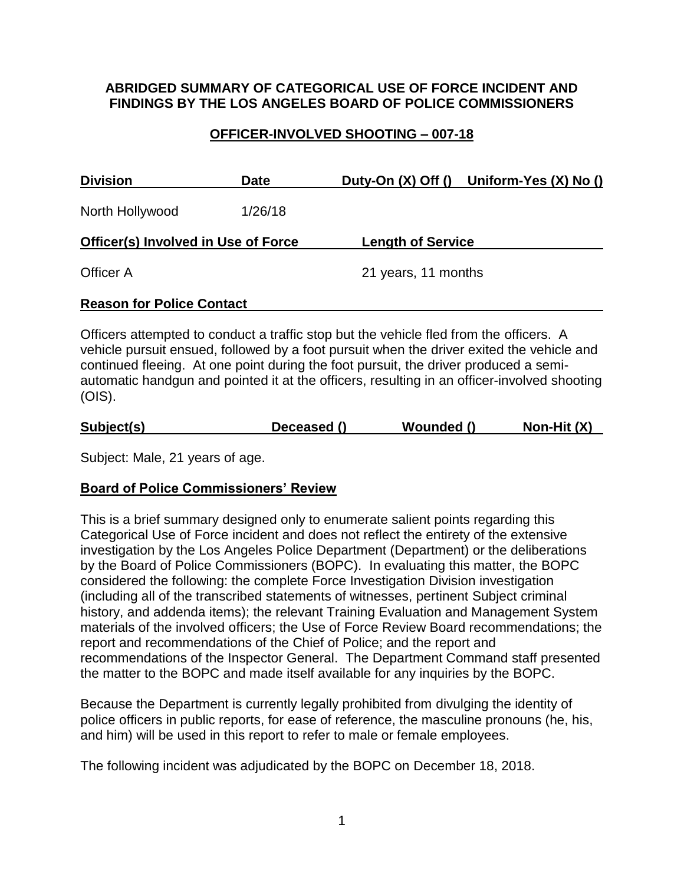## **ABRIDGED SUMMARY OF CATEGORICAL USE OF FORCE INCIDENT AND FINDINGS BY THE LOS ANGELES BOARD OF POLICE COMMISSIONERS**

# **OFFICER-INVOLVED SHOOTING – 007-18**

| <b>Division</b>                            | <b>Date</b> |                          | Duty-On (X) Off () Uniform-Yes (X) No () |
|--------------------------------------------|-------------|--------------------------|------------------------------------------|
| North Hollywood                            | 1/26/18     |                          |                                          |
| <b>Officer(s) Involved in Use of Force</b> |             | <b>Length of Service</b> |                                          |
| Officer A                                  |             | 21 years, 11 months      |                                          |
| <b>Reason for Police Contact</b>           |             |                          |                                          |

Officers attempted to conduct a traffic stop but the vehicle fled from the officers. A vehicle pursuit ensued, followed by a foot pursuit when the driver exited the vehicle and continued fleeing. At one point during the foot pursuit, the driver produced a semiautomatic handgun and pointed it at the officers, resulting in an officer-involved shooting (OIS).

| Subject(s) | Deceased () | Wounded () | Non-Hit (X) |
|------------|-------------|------------|-------------|
|            |             |            |             |

Subject: Male, 21 years of age.

# **Board of Police Commissioners' Review**

This is a brief summary designed only to enumerate salient points regarding this Categorical Use of Force incident and does not reflect the entirety of the extensive investigation by the Los Angeles Police Department (Department) or the deliberations by the Board of Police Commissioners (BOPC). In evaluating this matter, the BOPC considered the following: the complete Force Investigation Division investigation (including all of the transcribed statements of witnesses, pertinent Subject criminal history, and addenda items); the relevant Training Evaluation and Management System materials of the involved officers; the Use of Force Review Board recommendations; the report and recommendations of the Chief of Police; and the report and recommendations of the Inspector General. The Department Command staff presented the matter to the BOPC and made itself available for any inquiries by the BOPC.

Because the Department is currently legally prohibited from divulging the identity of police officers in public reports, for ease of reference, the masculine pronouns (he, his, and him) will be used in this report to refer to male or female employees.

The following incident was adjudicated by the BOPC on December 18, 2018.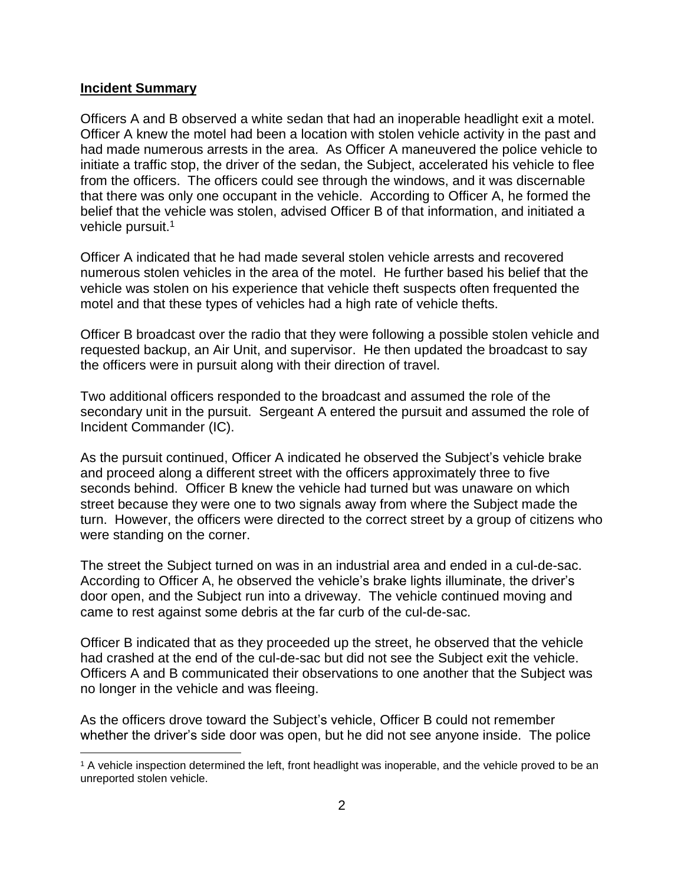#### **Incident Summary**

 $\overline{a}$ 

Officers A and B observed a white sedan that had an inoperable headlight exit a motel. Officer A knew the motel had been a location with stolen vehicle activity in the past and had made numerous arrests in the area. As Officer A maneuvered the police vehicle to initiate a traffic stop, the driver of the sedan, the Subject, accelerated his vehicle to flee from the officers. The officers could see through the windows, and it was discernable that there was only one occupant in the vehicle. According to Officer A, he formed the belief that the vehicle was stolen, advised Officer B of that information, and initiated a vehicle pursuit.<sup>1</sup>

Officer A indicated that he had made several stolen vehicle arrests and recovered numerous stolen vehicles in the area of the motel. He further based his belief that the vehicle was stolen on his experience that vehicle theft suspects often frequented the motel and that these types of vehicles had a high rate of vehicle thefts.

Officer B broadcast over the radio that they were following a possible stolen vehicle and requested backup, an Air Unit, and supervisor. He then updated the broadcast to say the officers were in pursuit along with their direction of travel.

Two additional officers responded to the broadcast and assumed the role of the secondary unit in the pursuit. Sergeant A entered the pursuit and assumed the role of Incident Commander (IC).

As the pursuit continued, Officer A indicated he observed the Subject's vehicle brake and proceed along a different street with the officers approximately three to five seconds behind. Officer B knew the vehicle had turned but was unaware on which street because they were one to two signals away from where the Subject made the turn. However, the officers were directed to the correct street by a group of citizens who were standing on the corner.

The street the Subject turned on was in an industrial area and ended in a cul-de-sac. According to Officer A, he observed the vehicle's brake lights illuminate, the driver's door open, and the Subject run into a driveway. The vehicle continued moving and came to rest against some debris at the far curb of the cul-de-sac.

Officer B indicated that as they proceeded up the street, he observed that the vehicle had crashed at the end of the cul-de-sac but did not see the Subject exit the vehicle. Officers A and B communicated their observations to one another that the Subject was no longer in the vehicle and was fleeing.

As the officers drove toward the Subject's vehicle, Officer B could not remember whether the driver's side door was open, but he did not see anyone inside. The police

<sup>1</sup> A vehicle inspection determined the left, front headlight was inoperable, and the vehicle proved to be an unreported stolen vehicle.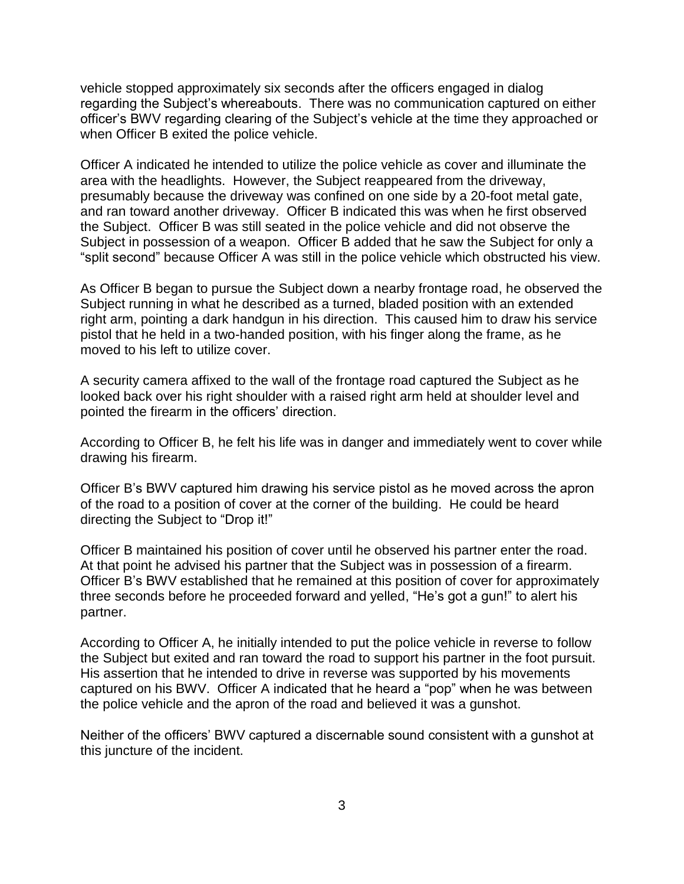vehicle stopped approximately six seconds after the officers engaged in dialog regarding the Subject's whereabouts. There was no communication captured on either officer's BWV regarding clearing of the Subject's vehicle at the time they approached or when Officer B exited the police vehicle.

Officer A indicated he intended to utilize the police vehicle as cover and illuminate the area with the headlights. However, the Subject reappeared from the driveway, presumably because the driveway was confined on one side by a 20-foot metal gate, and ran toward another driveway. Officer B indicated this was when he first observed the Subject. Officer B was still seated in the police vehicle and did not observe the Subject in possession of a weapon. Officer B added that he saw the Subject for only a "split second" because Officer A was still in the police vehicle which obstructed his view.

As Officer B began to pursue the Subject down a nearby frontage road, he observed the Subject running in what he described as a turned, bladed position with an extended right arm, pointing a dark handgun in his direction. This caused him to draw his service pistol that he held in a two-handed position, with his finger along the frame, as he moved to his left to utilize cover.

A security camera affixed to the wall of the frontage road captured the Subject as he looked back over his right shoulder with a raised right arm held at shoulder level and pointed the firearm in the officers' direction.

According to Officer B, he felt his life was in danger and immediately went to cover while drawing his firearm.

Officer B's BWV captured him drawing his service pistol as he moved across the apron of the road to a position of cover at the corner of the building. He could be heard directing the Subject to "Drop it!"

Officer B maintained his position of cover until he observed his partner enter the road. At that point he advised his partner that the Subject was in possession of a firearm. Officer B's BWV established that he remained at this position of cover for approximately three seconds before he proceeded forward and yelled, "He's got a gun!" to alert his partner.

According to Officer A, he initially intended to put the police vehicle in reverse to follow the Subject but exited and ran toward the road to support his partner in the foot pursuit. His assertion that he intended to drive in reverse was supported by his movements captured on his BWV. Officer A indicated that he heard a "pop" when he was between the police vehicle and the apron of the road and believed it was a gunshot.

Neither of the officers' BWV captured a discernable sound consistent with a gunshot at this juncture of the incident.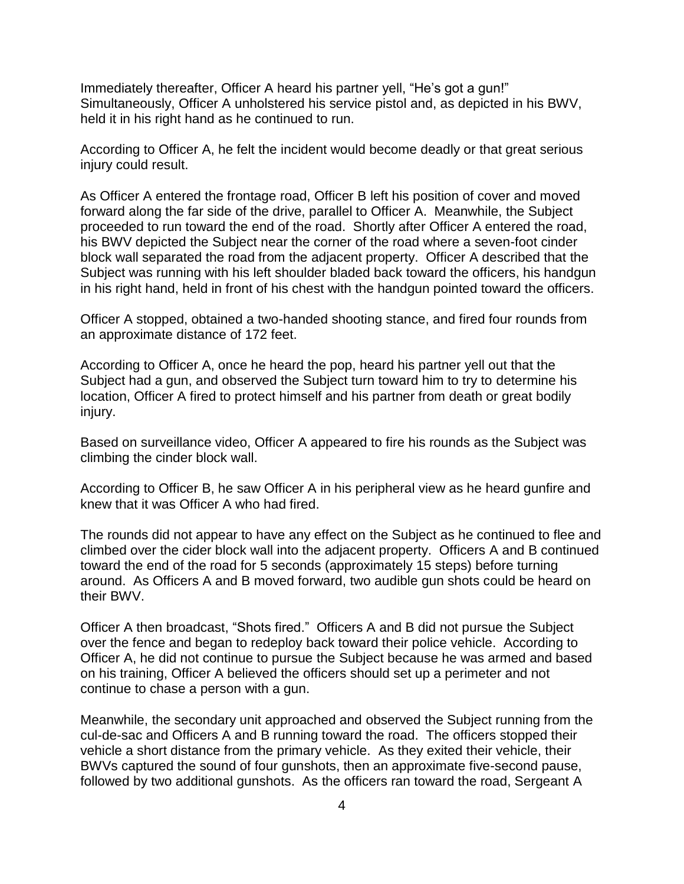Immediately thereafter, Officer A heard his partner yell, "He's got a gun!" Simultaneously, Officer A unholstered his service pistol and, as depicted in his BWV, held it in his right hand as he continued to run.

According to Officer A, he felt the incident would become deadly or that great serious injury could result.

As Officer A entered the frontage road, Officer B left his position of cover and moved forward along the far side of the drive, parallel to Officer A. Meanwhile, the Subject proceeded to run toward the end of the road. Shortly after Officer A entered the road, his BWV depicted the Subject near the corner of the road where a seven-foot cinder block wall separated the road from the adjacent property. Officer A described that the Subject was running with his left shoulder bladed back toward the officers, his handgun in his right hand, held in front of his chest with the handgun pointed toward the officers.

Officer A stopped, obtained a two-handed shooting stance, and fired four rounds from an approximate distance of 172 feet.

According to Officer A, once he heard the pop, heard his partner yell out that the Subject had a gun, and observed the Subject turn toward him to try to determine his location, Officer A fired to protect himself and his partner from death or great bodily injury.

Based on surveillance video, Officer A appeared to fire his rounds as the Subject was climbing the cinder block wall.

According to Officer B, he saw Officer A in his peripheral view as he heard gunfire and knew that it was Officer A who had fired.

The rounds did not appear to have any effect on the Subject as he continued to flee and climbed over the cider block wall into the adjacent property. Officers A and B continued toward the end of the road for 5 seconds (approximately 15 steps) before turning around. As Officers A and B moved forward, two audible gun shots could be heard on their BWV.

Officer A then broadcast, "Shots fired." Officers A and B did not pursue the Subject over the fence and began to redeploy back toward their police vehicle. According to Officer A, he did not continue to pursue the Subject because he was armed and based on his training, Officer A believed the officers should set up a perimeter and not continue to chase a person with a gun.

Meanwhile, the secondary unit approached and observed the Subject running from the cul-de-sac and Officers A and B running toward the road. The officers stopped their vehicle a short distance from the primary vehicle. As they exited their vehicle, their BWVs captured the sound of four gunshots, then an approximate five-second pause, followed by two additional gunshots. As the officers ran toward the road, Sergeant A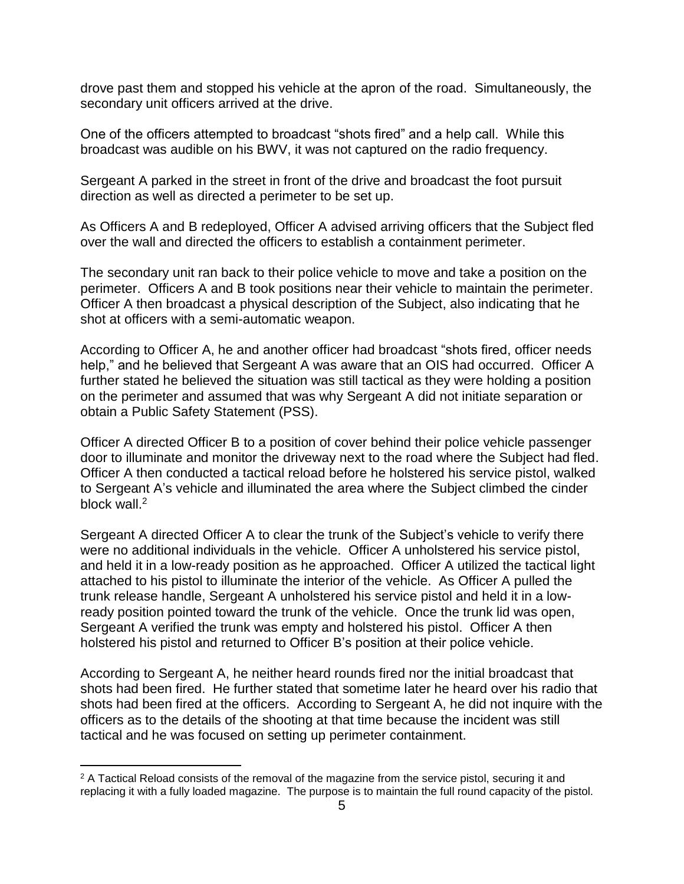drove past them and stopped his vehicle at the apron of the road. Simultaneously, the secondary unit officers arrived at the drive.

One of the officers attempted to broadcast "shots fired" and a help call. While this broadcast was audible on his BWV, it was not captured on the radio frequency.

Sergeant A parked in the street in front of the drive and broadcast the foot pursuit direction as well as directed a perimeter to be set up.

As Officers A and B redeployed, Officer A advised arriving officers that the Subject fled over the wall and directed the officers to establish a containment perimeter.

The secondary unit ran back to their police vehicle to move and take a position on the perimeter. Officers A and B took positions near their vehicle to maintain the perimeter. Officer A then broadcast a physical description of the Subject, also indicating that he shot at officers with a semi-automatic weapon.

According to Officer A, he and another officer had broadcast "shots fired, officer needs help," and he believed that Sergeant A was aware that an OIS had occurred. Officer A further stated he believed the situation was still tactical as they were holding a position on the perimeter and assumed that was why Sergeant A did not initiate separation or obtain a Public Safety Statement (PSS).

Officer A directed Officer B to a position of cover behind their police vehicle passenger door to illuminate and monitor the driveway next to the road where the Subject had fled. Officer A then conducted a tactical reload before he holstered his service pistol, walked to Sergeant A's vehicle and illuminated the area where the Subject climbed the cinder block wall.<sup>2</sup>

Sergeant A directed Officer A to clear the trunk of the Subject's vehicle to verify there were no additional individuals in the vehicle. Officer A unholstered his service pistol, and held it in a low-ready position as he approached. Officer A utilized the tactical light attached to his pistol to illuminate the interior of the vehicle. As Officer A pulled the trunk release handle, Sergeant A unholstered his service pistol and held it in a lowready position pointed toward the trunk of the vehicle. Once the trunk lid was open, Sergeant A verified the trunk was empty and holstered his pistol. Officer A then holstered his pistol and returned to Officer B's position at their police vehicle.

According to Sergeant A, he neither heard rounds fired nor the initial broadcast that shots had been fired. He further stated that sometime later he heard over his radio that shots had been fired at the officers. According to Sergeant A, he did not inquire with the officers as to the details of the shooting at that time because the incident was still tactical and he was focused on setting up perimeter containment.

 $\overline{a}$ 

<sup>&</sup>lt;sup>2</sup> A Tactical Reload consists of the removal of the magazine from the service pistol, securing it and replacing it with a fully loaded magazine. The purpose is to maintain the full round capacity of the pistol.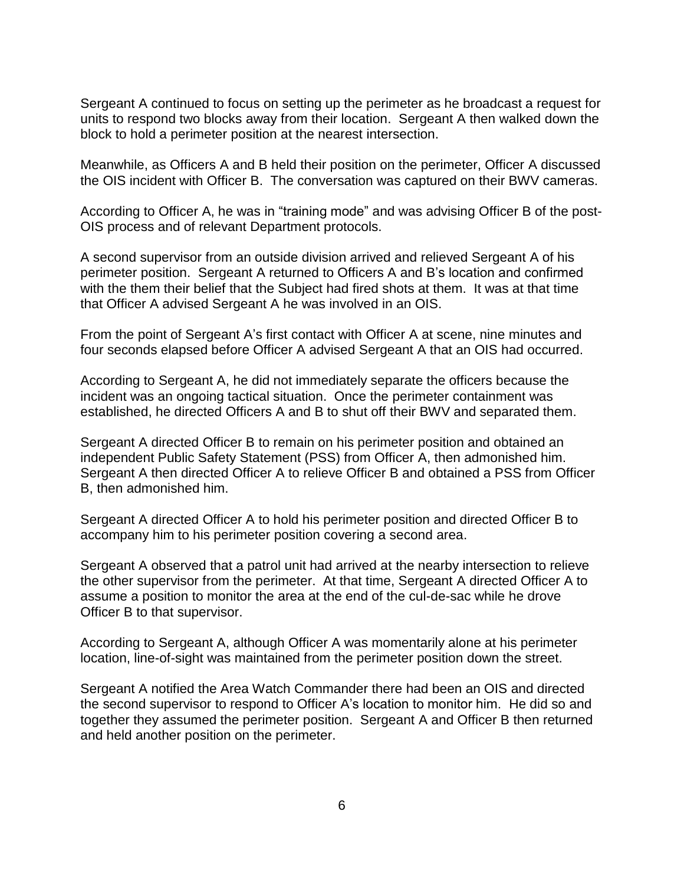Sergeant A continued to focus on setting up the perimeter as he broadcast a request for units to respond two blocks away from their location. Sergeant A then walked down the block to hold a perimeter position at the nearest intersection.

Meanwhile, as Officers A and B held their position on the perimeter, Officer A discussed the OIS incident with Officer B. The conversation was captured on their BWV cameras.

According to Officer A, he was in "training mode" and was advising Officer B of the post-OIS process and of relevant Department protocols.

A second supervisor from an outside division arrived and relieved Sergeant A of his perimeter position. Sergeant A returned to Officers A and B's location and confirmed with the them their belief that the Subject had fired shots at them. It was at that time that Officer A advised Sergeant A he was involved in an OIS.

From the point of Sergeant A's first contact with Officer A at scene, nine minutes and four seconds elapsed before Officer A advised Sergeant A that an OIS had occurred.

According to Sergeant A, he did not immediately separate the officers because the incident was an ongoing tactical situation. Once the perimeter containment was established, he directed Officers A and B to shut off their BWV and separated them.

Sergeant A directed Officer B to remain on his perimeter position and obtained an independent Public Safety Statement (PSS) from Officer A, then admonished him. Sergeant A then directed Officer A to relieve Officer B and obtained a PSS from Officer B, then admonished him.

Sergeant A directed Officer A to hold his perimeter position and directed Officer B to accompany him to his perimeter position covering a second area.

Sergeant A observed that a patrol unit had arrived at the nearby intersection to relieve the other supervisor from the perimeter. At that time, Sergeant A directed Officer A to assume a position to monitor the area at the end of the cul-de-sac while he drove Officer B to that supervisor.

According to Sergeant A, although Officer A was momentarily alone at his perimeter location, line-of-sight was maintained from the perimeter position down the street.

Sergeant A notified the Area Watch Commander there had been an OIS and directed the second supervisor to respond to Officer A's location to monitor him. He did so and together they assumed the perimeter position. Sergeant A and Officer B then returned and held another position on the perimeter.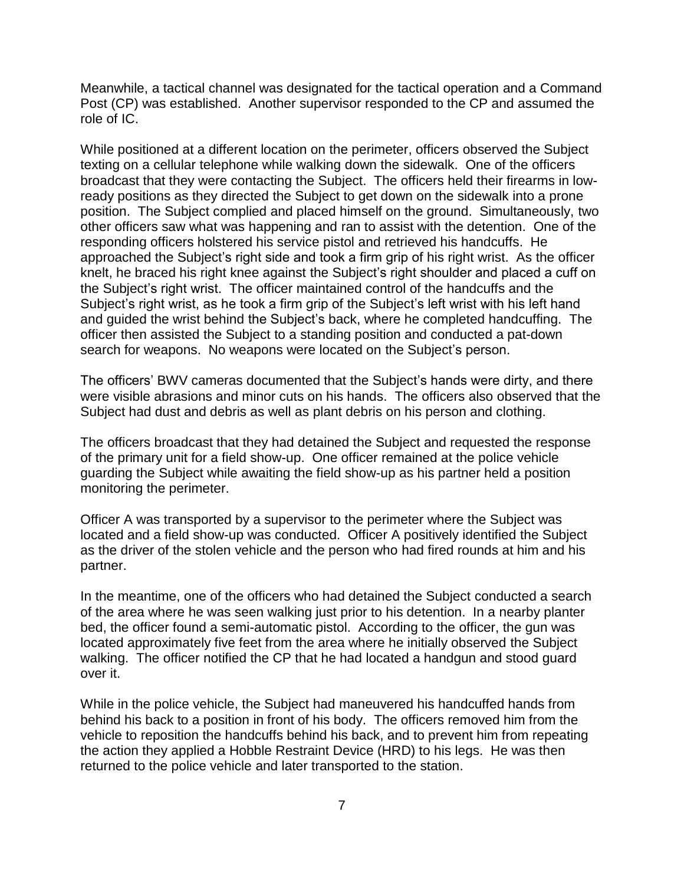Meanwhile, a tactical channel was designated for the tactical operation and a Command Post (CP) was established. Another supervisor responded to the CP and assumed the role of IC.

While positioned at a different location on the perimeter, officers observed the Subject texting on a cellular telephone while walking down the sidewalk. One of the officers broadcast that they were contacting the Subject. The officers held their firearms in lowready positions as they directed the Subject to get down on the sidewalk into a prone position. The Subject complied and placed himself on the ground. Simultaneously, two other officers saw what was happening and ran to assist with the detention. One of the responding officers holstered his service pistol and retrieved his handcuffs. He approached the Subject's right side and took a firm grip of his right wrist. As the officer knelt, he braced his right knee against the Subject's right shoulder and placed a cuff on the Subject's right wrist. The officer maintained control of the handcuffs and the Subject's right wrist, as he took a firm grip of the Subject's left wrist with his left hand and guided the wrist behind the Subject's back, where he completed handcuffing. The officer then assisted the Subject to a standing position and conducted a pat-down search for weapons. No weapons were located on the Subject's person.

The officers' BWV cameras documented that the Subject's hands were dirty, and there were visible abrasions and minor cuts on his hands. The officers also observed that the Subject had dust and debris as well as plant debris on his person and clothing.

The officers broadcast that they had detained the Subject and requested the response of the primary unit for a field show-up. One officer remained at the police vehicle guarding the Subject while awaiting the field show-up as his partner held a position monitoring the perimeter.

Officer A was transported by a supervisor to the perimeter where the Subject was located and a field show-up was conducted. Officer A positively identified the Subject as the driver of the stolen vehicle and the person who had fired rounds at him and his partner.

In the meantime, one of the officers who had detained the Subject conducted a search of the area where he was seen walking just prior to his detention. In a nearby planter bed, the officer found a semi-automatic pistol. According to the officer, the gun was located approximately five feet from the area where he initially observed the Subject walking. The officer notified the CP that he had located a handgun and stood guard over it.

While in the police vehicle, the Subject had maneuvered his handcuffed hands from behind his back to a position in front of his body. The officers removed him from the vehicle to reposition the handcuffs behind his back, and to prevent him from repeating the action they applied a Hobble Restraint Device (HRD) to his legs. He was then returned to the police vehicle and later transported to the station.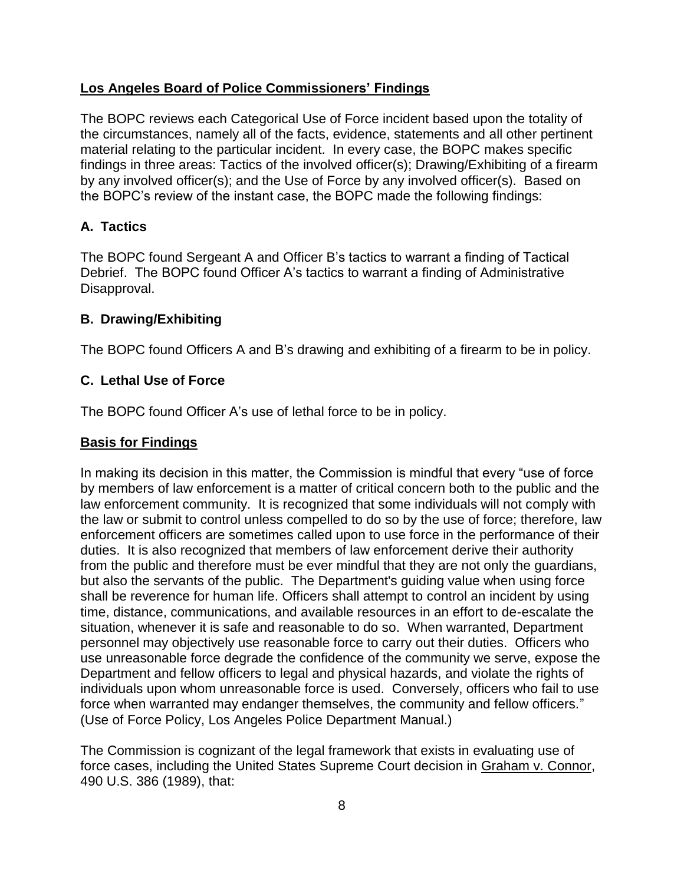## **Los Angeles Board of Police Commissioners' Findings**

The BOPC reviews each Categorical Use of Force incident based upon the totality of the circumstances, namely all of the facts, evidence, statements and all other pertinent material relating to the particular incident. In every case, the BOPC makes specific findings in three areas: Tactics of the involved officer(s); Drawing/Exhibiting of a firearm by any involved officer(s); and the Use of Force by any involved officer(s). Based on the BOPC's review of the instant case, the BOPC made the following findings:

# **A. Tactics**

The BOPC found Sergeant A and Officer B's tactics to warrant a finding of Tactical Debrief. The BOPC found Officer A's tactics to warrant a finding of Administrative Disapproval.

### **B. Drawing/Exhibiting**

The BOPC found Officers A and B's drawing and exhibiting of a firearm to be in policy.

## **C. Lethal Use of Force**

The BOPC found Officer A's use of lethal force to be in policy.

### **Basis for Findings**

In making its decision in this matter, the Commission is mindful that every "use of force by members of law enforcement is a matter of critical concern both to the public and the law enforcement community. It is recognized that some individuals will not comply with the law or submit to control unless compelled to do so by the use of force; therefore, law enforcement officers are sometimes called upon to use force in the performance of their duties. It is also recognized that members of law enforcement derive their authority from the public and therefore must be ever mindful that they are not only the guardians, but also the servants of the public. The Department's guiding value when using force shall be reverence for human life. Officers shall attempt to control an incident by using time, distance, communications, and available resources in an effort to de-escalate the situation, whenever it is safe and reasonable to do so. When warranted, Department personnel may objectively use reasonable force to carry out their duties. Officers who use unreasonable force degrade the confidence of the community we serve, expose the Department and fellow officers to legal and physical hazards, and violate the rights of individuals upon whom unreasonable force is used. Conversely, officers who fail to use force when warranted may endanger themselves, the community and fellow officers." (Use of Force Policy, Los Angeles Police Department Manual.)

The Commission is cognizant of the legal framework that exists in evaluating use of force cases, including the United States Supreme Court decision in Graham v. Connor, 490 U.S. 386 (1989), that: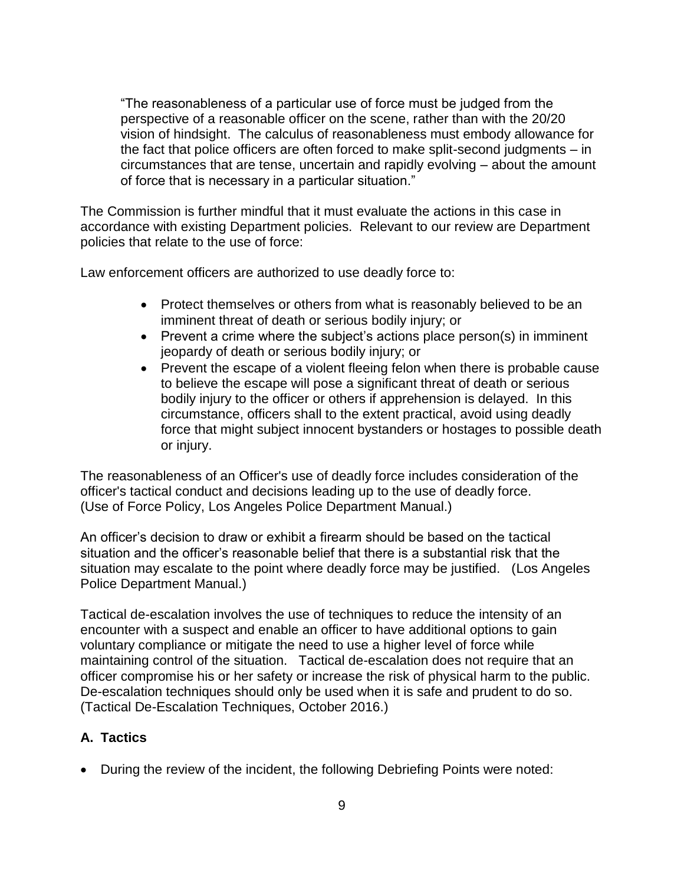"The reasonableness of a particular use of force must be judged from the perspective of a reasonable officer on the scene, rather than with the 20/20 vision of hindsight. The calculus of reasonableness must embody allowance for the fact that police officers are often forced to make split-second judgments – in circumstances that are tense, uncertain and rapidly evolving – about the amount of force that is necessary in a particular situation."

The Commission is further mindful that it must evaluate the actions in this case in accordance with existing Department policies. Relevant to our review are Department policies that relate to the use of force:

Law enforcement officers are authorized to use deadly force to:

- Protect themselves or others from what is reasonably believed to be an imminent threat of death or serious bodily injury; or
- Prevent a crime where the subject's actions place person(s) in imminent jeopardy of death or serious bodily injury; or
- Prevent the escape of a violent fleeing felon when there is probable cause to believe the escape will pose a significant threat of death or serious bodily injury to the officer or others if apprehension is delayed. In this circumstance, officers shall to the extent practical, avoid using deadly force that might subject innocent bystanders or hostages to possible death or injury.

The reasonableness of an Officer's use of deadly force includes consideration of the officer's tactical conduct and decisions leading up to the use of deadly force. (Use of Force Policy, Los Angeles Police Department Manual.)

An officer's decision to draw or exhibit a firearm should be based on the tactical situation and the officer's reasonable belief that there is a substantial risk that the situation may escalate to the point where deadly force may be justified. (Los Angeles Police Department Manual.)

Tactical de-escalation involves the use of techniques to reduce the intensity of an encounter with a suspect and enable an officer to have additional options to gain voluntary compliance or mitigate the need to use a higher level of force while maintaining control of the situation. Tactical de-escalation does not require that an officer compromise his or her safety or increase the risk of physical harm to the public. De-escalation techniques should only be used when it is safe and prudent to do so. (Tactical De-Escalation Techniques, October 2016.)

### **A. Tactics**

• During the review of the incident, the following Debriefing Points were noted: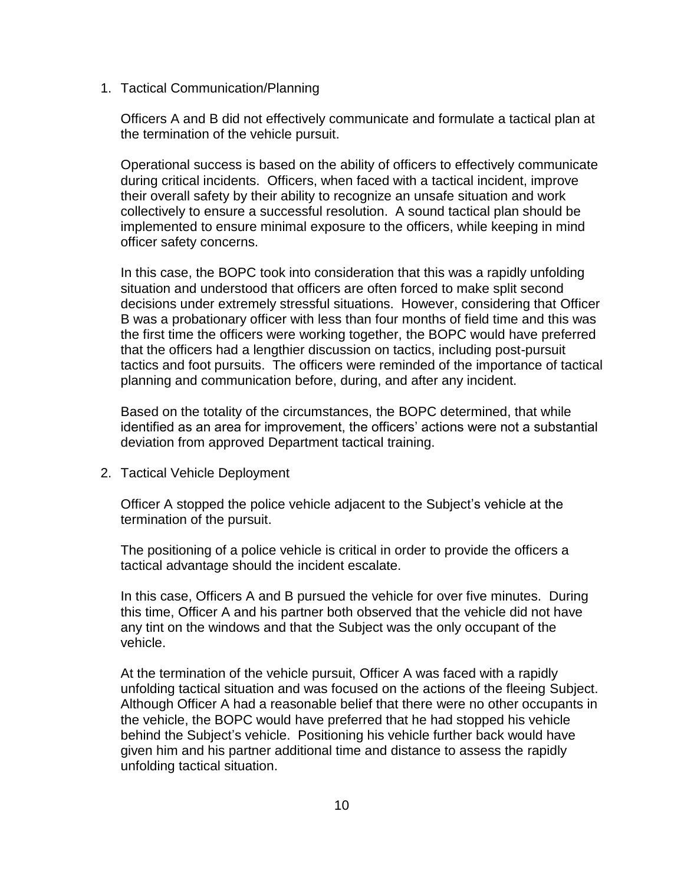1. Tactical Communication/Planning

Officers A and B did not effectively communicate and formulate a tactical plan at the termination of the vehicle pursuit.

Operational success is based on the ability of officers to effectively communicate during critical incidents. Officers, when faced with a tactical incident, improve their overall safety by their ability to recognize an unsafe situation and work collectively to ensure a successful resolution. A sound tactical plan should be implemented to ensure minimal exposure to the officers, while keeping in mind officer safety concerns.

In this case, the BOPC took into consideration that this was a rapidly unfolding situation and understood that officers are often forced to make split second decisions under extremely stressful situations. However, considering that Officer B was a probationary officer with less than four months of field time and this was the first time the officers were working together, the BOPC would have preferred that the officers had a lengthier discussion on tactics, including post-pursuit tactics and foot pursuits. The officers were reminded of the importance of tactical planning and communication before, during, and after any incident.

Based on the totality of the circumstances, the BOPC determined, that while identified as an area for improvement, the officers' actions were not a substantial deviation from approved Department tactical training.

2. Tactical Vehicle Deployment

Officer A stopped the police vehicle adjacent to the Subject's vehicle at the termination of the pursuit.

The positioning of a police vehicle is critical in order to provide the officers a tactical advantage should the incident escalate.

In this case, Officers A and B pursued the vehicle for over five minutes. During this time, Officer A and his partner both observed that the vehicle did not have any tint on the windows and that the Subject was the only occupant of the vehicle.

At the termination of the vehicle pursuit, Officer A was faced with a rapidly unfolding tactical situation and was focused on the actions of the fleeing Subject. Although Officer A had a reasonable belief that there were no other occupants in the vehicle, the BOPC would have preferred that he had stopped his vehicle behind the Subject's vehicle. Positioning his vehicle further back would have given him and his partner additional time and distance to assess the rapidly unfolding tactical situation.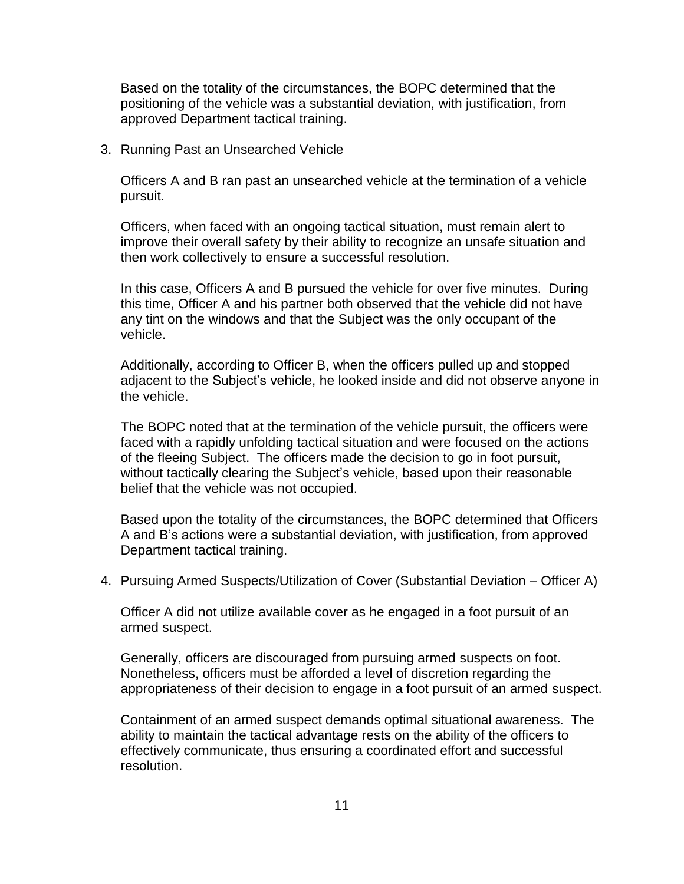Based on the totality of the circumstances, the BOPC determined that the positioning of the vehicle was a substantial deviation, with justification, from approved Department tactical training.

3. Running Past an Unsearched Vehicle

Officers A and B ran past an unsearched vehicle at the termination of a vehicle pursuit.

Officers, when faced with an ongoing tactical situation, must remain alert to improve their overall safety by their ability to recognize an unsafe situation and then work collectively to ensure a successful resolution.

In this case, Officers A and B pursued the vehicle for over five minutes. During this time, Officer A and his partner both observed that the vehicle did not have any tint on the windows and that the Subject was the only occupant of the vehicle.

Additionally, according to Officer B, when the officers pulled up and stopped adjacent to the Subject's vehicle, he looked inside and did not observe anyone in the vehicle.

The BOPC noted that at the termination of the vehicle pursuit, the officers were faced with a rapidly unfolding tactical situation and were focused on the actions of the fleeing Subject. The officers made the decision to go in foot pursuit, without tactically clearing the Subject's vehicle, based upon their reasonable belief that the vehicle was not occupied.

Based upon the totality of the circumstances, the BOPC determined that Officers A and B's actions were a substantial deviation, with justification, from approved Department tactical training.

4. Pursuing Armed Suspects/Utilization of Cover (Substantial Deviation – Officer A)

Officer A did not utilize available cover as he engaged in a foot pursuit of an armed suspect.

Generally, officers are discouraged from pursuing armed suspects on foot. Nonetheless, officers must be afforded a level of discretion regarding the appropriateness of their decision to engage in a foot pursuit of an armed suspect.

Containment of an armed suspect demands optimal situational awareness. The ability to maintain the tactical advantage rests on the ability of the officers to effectively communicate, thus ensuring a coordinated effort and successful resolution.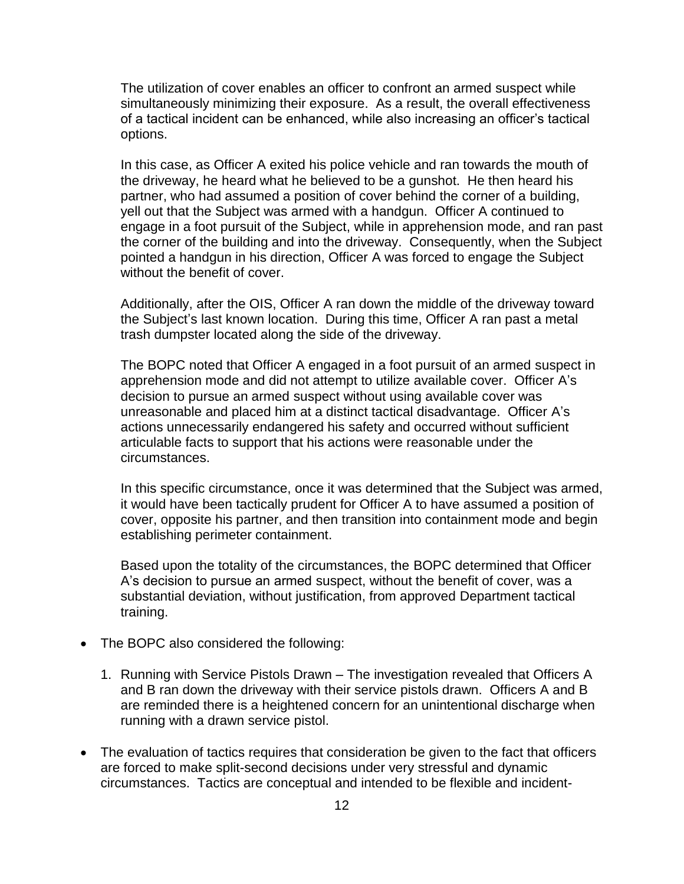The utilization of cover enables an officer to confront an armed suspect while simultaneously minimizing their exposure. As a result, the overall effectiveness of a tactical incident can be enhanced, while also increasing an officer's tactical options.

In this case, as Officer A exited his police vehicle and ran towards the mouth of the driveway, he heard what he believed to be a gunshot. He then heard his partner, who had assumed a position of cover behind the corner of a building, yell out that the Subject was armed with a handgun. Officer A continued to engage in a foot pursuit of the Subject, while in apprehension mode, and ran past the corner of the building and into the driveway. Consequently, when the Subject pointed a handgun in his direction, Officer A was forced to engage the Subject without the benefit of cover.

Additionally, after the OIS, Officer A ran down the middle of the driveway toward the Subject's last known location. During this time, Officer A ran past a metal trash dumpster located along the side of the driveway.

The BOPC noted that Officer A engaged in a foot pursuit of an armed suspect in apprehension mode and did not attempt to utilize available cover. Officer A's decision to pursue an armed suspect without using available cover was unreasonable and placed him at a distinct tactical disadvantage. Officer A's actions unnecessarily endangered his safety and occurred without sufficient articulable facts to support that his actions were reasonable under the circumstances.

In this specific circumstance, once it was determined that the Subject was armed, it would have been tactically prudent for Officer A to have assumed a position of cover, opposite his partner, and then transition into containment mode and begin establishing perimeter containment.

Based upon the totality of the circumstances, the BOPC determined that Officer A's decision to pursue an armed suspect, without the benefit of cover, was a substantial deviation, without justification, from approved Department tactical training.

- The BOPC also considered the following:
	- 1. Running with Service Pistols Drawn The investigation revealed that Officers A and B ran down the driveway with their service pistols drawn. Officers A and B are reminded there is a heightened concern for an unintentional discharge when running with a drawn service pistol.
- The evaluation of tactics requires that consideration be given to the fact that officers are forced to make split-second decisions under very stressful and dynamic circumstances. Tactics are conceptual and intended to be flexible and incident-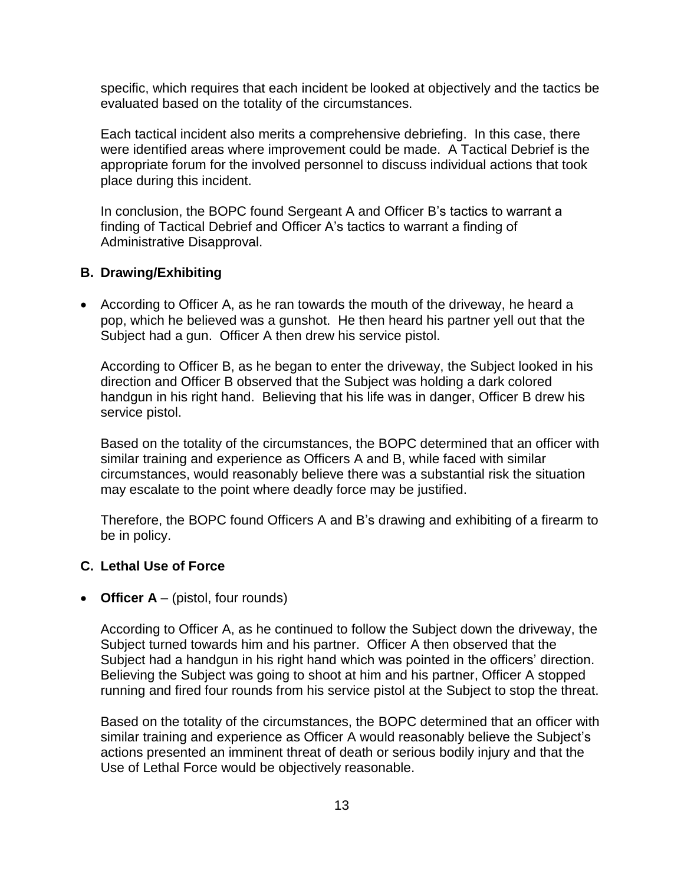specific, which requires that each incident be looked at objectively and the tactics be evaluated based on the totality of the circumstances.

Each tactical incident also merits a comprehensive debriefing. In this case, there were identified areas where improvement could be made. A Tactical Debrief is the appropriate forum for the involved personnel to discuss individual actions that took place during this incident.

In conclusion, the BOPC found Sergeant A and Officer B's tactics to warrant a finding of Tactical Debrief and Officer A's tactics to warrant a finding of Administrative Disapproval.

#### **B. Drawing/Exhibiting**

• According to Officer A, as he ran towards the mouth of the driveway, he heard a pop, which he believed was a gunshot. He then heard his partner yell out that the Subject had a gun. Officer A then drew his service pistol.

According to Officer B, as he began to enter the driveway, the Subject looked in his direction and Officer B observed that the Subject was holding a dark colored handgun in his right hand. Believing that his life was in danger, Officer B drew his service pistol.

Based on the totality of the circumstances, the BOPC determined that an officer with similar training and experience as Officers A and B, while faced with similar circumstances, would reasonably believe there was a substantial risk the situation may escalate to the point where deadly force may be justified.

Therefore, the BOPC found Officers A and B's drawing and exhibiting of a firearm to be in policy.

### **C. Lethal Use of Force**

• **Officer A** – (pistol, four rounds)

According to Officer A, as he continued to follow the Subject down the driveway, the Subject turned towards him and his partner. Officer A then observed that the Subject had a handgun in his right hand which was pointed in the officers' direction. Believing the Subject was going to shoot at him and his partner, Officer A stopped running and fired four rounds from his service pistol at the Subject to stop the threat.

Based on the totality of the circumstances, the BOPC determined that an officer with similar training and experience as Officer A would reasonably believe the Subject's actions presented an imminent threat of death or serious bodily injury and that the Use of Lethal Force would be objectively reasonable.